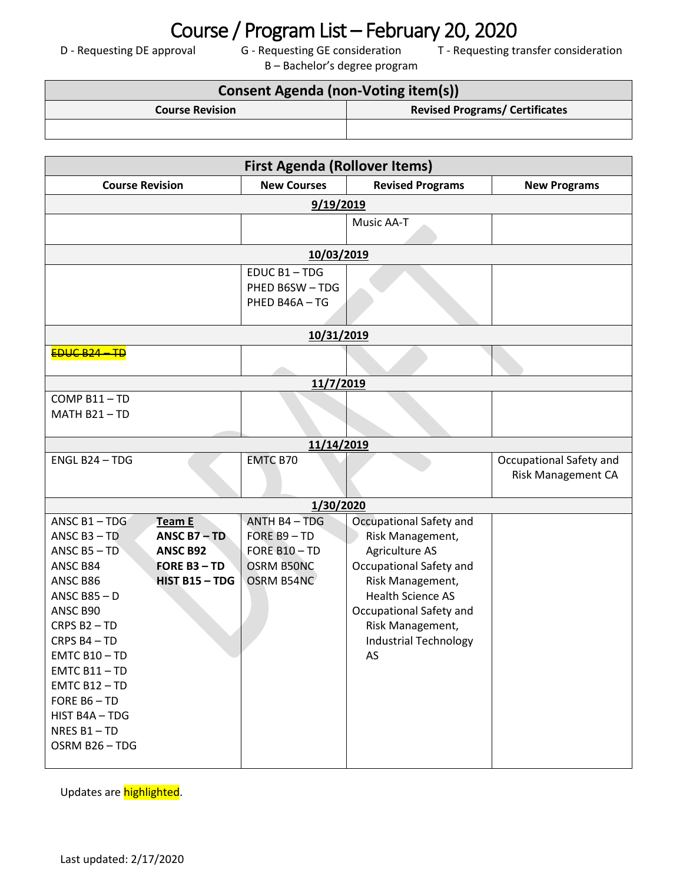## Course / Program List – February 20, 2020<br>D - Requesting DE approval G - Requesting GE consideration T - Requesting tr

B – Bachelor's degree program

T - Requesting transfer consideration

| <b>Consent Agenda (non-Voting item(s))</b> |                                       |  |  |
|--------------------------------------------|---------------------------------------|--|--|
| <b>Course Revision</b>                     | <b>Revised Programs/ Certificates</b> |  |  |
|                                            |                                       |  |  |

| <b>First Agenda (Rollover Items)</b>                                                                                                                                                                                                                 |                                                                                    |                                                                                   |                                                                                                                                                                                                                               |                                                      |  |  |
|------------------------------------------------------------------------------------------------------------------------------------------------------------------------------------------------------------------------------------------------------|------------------------------------------------------------------------------------|-----------------------------------------------------------------------------------|-------------------------------------------------------------------------------------------------------------------------------------------------------------------------------------------------------------------------------|------------------------------------------------------|--|--|
| <b>Course Revision</b>                                                                                                                                                                                                                               |                                                                                    | <b>New Courses</b>                                                                | <b>Revised Programs</b>                                                                                                                                                                                                       | <b>New Programs</b>                                  |  |  |
| 9/19/2019                                                                                                                                                                                                                                            |                                                                                    |                                                                                   |                                                                                                                                                                                                                               |                                                      |  |  |
|                                                                                                                                                                                                                                                      |                                                                                    |                                                                                   | Music AA-T                                                                                                                                                                                                                    |                                                      |  |  |
|                                                                                                                                                                                                                                                      |                                                                                    | 10/03/2019                                                                        |                                                                                                                                                                                                                               |                                                      |  |  |
|                                                                                                                                                                                                                                                      |                                                                                    | EDUC B1-TDG<br>PHED B6SW-TDG<br>PHED B46A-TG                                      |                                                                                                                                                                                                                               |                                                      |  |  |
|                                                                                                                                                                                                                                                      |                                                                                    | 10/31/2019                                                                        |                                                                                                                                                                                                                               |                                                      |  |  |
| $E D U C B 24 - T D$                                                                                                                                                                                                                                 |                                                                                    |                                                                                   |                                                                                                                                                                                                                               |                                                      |  |  |
|                                                                                                                                                                                                                                                      |                                                                                    | 11/7/2019                                                                         |                                                                                                                                                                                                                               |                                                      |  |  |
| COMP B11-TD<br>MATH B21-TD                                                                                                                                                                                                                           |                                                                                    |                                                                                   |                                                                                                                                                                                                                               |                                                      |  |  |
|                                                                                                                                                                                                                                                      |                                                                                    | 11/14/2019                                                                        |                                                                                                                                                                                                                               |                                                      |  |  |
| ENGL B24 - TDG                                                                                                                                                                                                                                       |                                                                                    | <b>EMTC B70</b>                                                                   |                                                                                                                                                                                                                               | Occupational Safety and<br><b>Risk Management CA</b> |  |  |
|                                                                                                                                                                                                                                                      |                                                                                    | 1/30/2020                                                                         |                                                                                                                                                                                                                               |                                                      |  |  |
| ANSC B1-TDG<br>ANSC $B3 - TD$<br>ANSC $B5 - TD$<br>ANSC B84<br>ANSC B86<br>ANSC $B85 - D$<br>ANSC B90<br>CRPS B2-TD<br>CRPS B4-TD<br>$EMTC B10 - TD$<br>$EMTC B11 - TD$<br>EMTC B12-TD<br>FORE B6-TD<br>HIST B4A - TDG<br>NRES B1-TD<br>OSRM B26-TDG | Team E<br>ANSC $B7 - TD$<br><b>ANSC B92</b><br><b>FORE B3-TD</b><br>HIST B15 - TDG | ANTH B4 - TDG<br>FORE $B9 - TD$<br>FORE B10-TD<br><b>OSRM B50NC</b><br>OSRM B54NC | Occupational Safety and<br>Risk Management,<br>Agriculture AS<br>Occupational Safety and<br>Risk Management,<br><b>Health Science AS</b><br>Occupational Safety and<br>Risk Management,<br><b>Industrial Technology</b><br>AS |                                                      |  |  |

Updates are highlighted.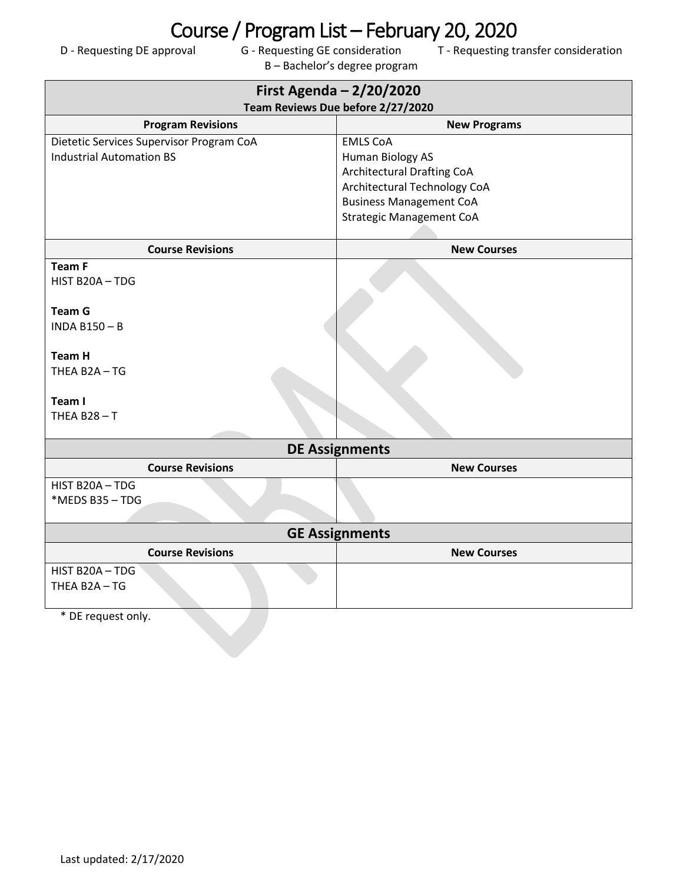## Course / Program List – February 20, 2020<br>D - Requesting DE approval G - Requesting GE consideration T - Requesting tr

B – Bachelor's degree program

T - Requesting transfer consideration

| First Agenda - 2/20/2020                 |                                   |  |  |  |  |
|------------------------------------------|-----------------------------------|--|--|--|--|
| Team Reviews Due before 2/27/2020        |                                   |  |  |  |  |
| <b>Program Revisions</b>                 | <b>New Programs</b>               |  |  |  |  |
| Dietetic Services Supervisor Program CoA | <b>EMLS CoA</b>                   |  |  |  |  |
| <b>Industrial Automation BS</b>          | <b>Human Biology AS</b>           |  |  |  |  |
|                                          | <b>Architectural Drafting CoA</b> |  |  |  |  |
|                                          | Architectural Technology CoA      |  |  |  |  |
|                                          | <b>Business Management CoA</b>    |  |  |  |  |
|                                          | <b>Strategic Management CoA</b>   |  |  |  |  |
|                                          |                                   |  |  |  |  |
| <b>Course Revisions</b>                  | <b>New Courses</b>                |  |  |  |  |
| <b>Team F</b>                            |                                   |  |  |  |  |
| HIST B20A-TDG                            |                                   |  |  |  |  |
|                                          |                                   |  |  |  |  |
| <b>Team G</b>                            |                                   |  |  |  |  |
| <b>INDA B150-B</b>                       |                                   |  |  |  |  |
|                                          |                                   |  |  |  |  |
| <b>Team H</b>                            |                                   |  |  |  |  |
| THEA B2A-TG                              |                                   |  |  |  |  |
|                                          |                                   |  |  |  |  |
| Team I                                   |                                   |  |  |  |  |
| THEA $B28 - T$                           |                                   |  |  |  |  |
|                                          |                                   |  |  |  |  |
|                                          | <b>DE Assignments</b>             |  |  |  |  |
| <b>Course Revisions</b>                  | <b>New Courses</b>                |  |  |  |  |
| HIST B20A-TDG                            |                                   |  |  |  |  |
| *MEDS B35-TDG                            |                                   |  |  |  |  |
|                                          |                                   |  |  |  |  |
| <b>GE Assignments</b>                    |                                   |  |  |  |  |
| <b>Course Revisions</b>                  | <b>New Courses</b>                |  |  |  |  |
| HIST B20A-TDG                            |                                   |  |  |  |  |
| THEA B2A-TG                              |                                   |  |  |  |  |
|                                          |                                   |  |  |  |  |
| * DE request only.                       |                                   |  |  |  |  |